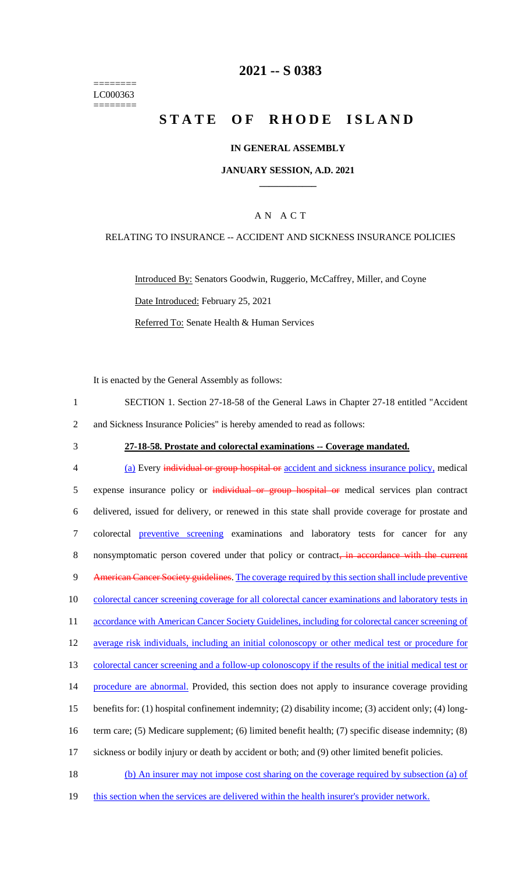======== LC000363 ========

# **2021 -- S 0383**

# **STATE OF RHODE ISLAND**

### **IN GENERAL ASSEMBLY**

### **JANUARY SESSION, A.D. 2021 \_\_\_\_\_\_\_\_\_\_\_\_**

## A N A C T

### RELATING TO INSURANCE -- ACCIDENT AND SICKNESS INSURANCE POLICIES

Introduced By: Senators Goodwin, Ruggerio, McCaffrey, Miller, and Coyne Date Introduced: February 25, 2021 Referred To: Senate Health & Human Services

It is enacted by the General Assembly as follows:

| SECTION 1. Section 27-18-58 of the General Laws in Chapter 27-18 entitled "Accident" |
|--------------------------------------------------------------------------------------|
| and Sickness Insurance Policies" is hereby amended to read as follows:               |

## 3 **27-18-58. Prostate and colorectal examinations -- Coverage mandated.**

4 (a) Every individual or group hospital or accident and sickness insurance policy, medical 5 expense insurance policy or individual or group hospital or medical services plan contract 6 delivered, issued for delivery, or renewed in this state shall provide coverage for prostate and 7 colorectal preventive screening examinations and laboratory tests for cancer for any 8 nonsymptomatic person covered under that policy or contract, in accordance with the current 9 American Cancer Society guidelines. The coverage required by this section shall include preventive 10 colorectal cancer screening coverage for all colorectal cancer examinations and laboratory tests in 11 accordance with American Cancer Society Guidelines, including for colorectal cancer screening of 12 average risk individuals, including an initial colonoscopy or other medical test or procedure for 13 colorectal cancer screening and a follow-up colonoscopy if the results of the initial medical test or 14 procedure are abnormal. Provided, this section does not apply to insurance coverage providing 15 benefits for: (1) hospital confinement indemnity; (2) disability income; (3) accident only; (4) long-16 term care; (5) Medicare supplement; (6) limited benefit health; (7) specific disease indemnity; (8) 17 sickness or bodily injury or death by accident or both; and (9) other limited benefit policies. 18 (b) An insurer may not impose cost sharing on the coverage required by subsection (a) of

19 this section when the services are delivered within the health insurer's provider network.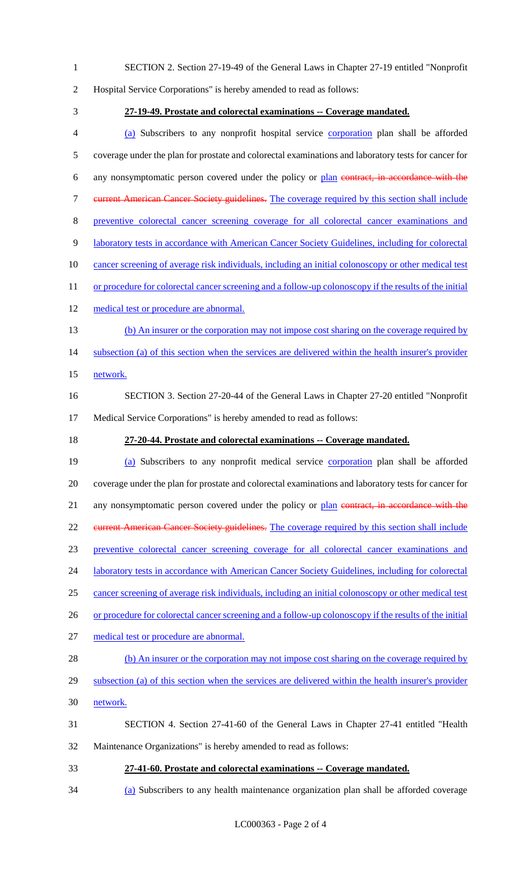2 Hospital Service Corporations" is hereby amended to read as follows: 3 **27-19-49. Prostate and colorectal examinations -- Coverage mandated.** 4 (a) Subscribers to any nonprofit hospital service corporation plan shall be afforded 5 coverage under the plan for prostate and colorectal examinations and laboratory tests for cancer for 6 any nonsymptomatic person covered under the policy or plan contract, in accordance with the 7 current American Cancer Society guidelines. The coverage required by this section shall include 8 preventive colorectal cancer screening coverage for all colorectal cancer examinations and 9 laboratory tests in accordance with American Cancer Society Guidelines, including for colorectal 10 cancer screening of average risk individuals, including an initial colonoscopy or other medical test 11 or procedure for colorectal cancer screening and a follow-up colonoscopy if the results of the initial 12 medical test or procedure are abnormal. 13 (b) An insurer or the corporation may not impose cost sharing on the coverage required by 14 subsection (a) of this section when the services are delivered within the health insurer's provider 15 network. 16 SECTION 3. Section 27-20-44 of the General Laws in Chapter 27-20 entitled "Nonprofit 17 Medical Service Corporations" is hereby amended to read as follows: 18 **27-20-44. Prostate and colorectal examinations -- Coverage mandated.** 19 (a) Subscribers to any nonprofit medical service corporation plan shall be afforded 20 coverage under the plan for prostate and colorectal examinations and laboratory tests for cancer for 21 any nonsymptomatic person covered under the policy or plan contract, in accordance with the 22 current American Cancer Society guidelines. The coverage required by this section shall include 23 preventive colorectal cancer screening coverage for all colorectal cancer examinations and 24 laboratory tests in accordance with American Cancer Society Guidelines, including for colorectal 25 cancer screening of average risk individuals, including an initial colonoscopy or other medical test 26 or procedure for colorectal cancer screening and a follow-up colonoscopy if the results of the initial 27 medical test or procedure are abnormal. 28 (b) An insurer or the corporation may not impose cost sharing on the coverage required by 29 subsection (a) of this section when the services are delivered within the health insurer's provider 30 network. 31 SECTION 4. Section 27-41-60 of the General Laws in Chapter 27-41 entitled "Health 32 Maintenance Organizations" is hereby amended to read as follows: 33 **27-41-60. Prostate and colorectal examinations -- Coverage mandated.** 34 (a) Subscribers to any health maintenance organization plan shall be afforded coverage

1 SECTION 2. Section 27-19-49 of the General Laws in Chapter 27-19 entitled "Nonprofit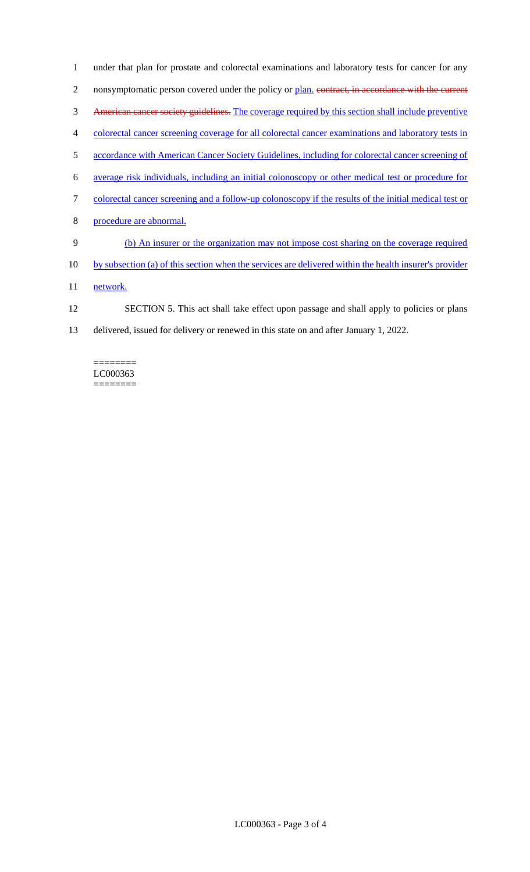under that plan for prostate and colorectal examinations and laboratory tests for cancer for any 2 nonsymptomatic person covered under the policy or plan. contract, in accordance with the current American cancer society guidelines. The coverage required by this section shall include preventive colorectal cancer screening coverage for all colorectal cancer examinations and laboratory tests in 5 accordance with American Cancer Society Guidelines, including for colorectal cancer screening of average risk individuals, including an initial colonoscopy or other medical test or procedure for colorectal cancer screening and a follow-up colonoscopy if the results of the initial medical test or procedure are abnormal. (b) An insurer or the organization may not impose cost sharing on the coverage required by subsection (a) of this section when the services are delivered within the health insurer's provider 11 network. SECTION 5. This act shall take effect upon passage and shall apply to policies or plans

13 delivered, issued for delivery or renewed in this state on and after January 1, 2022.

#### ======== LC000363 ========